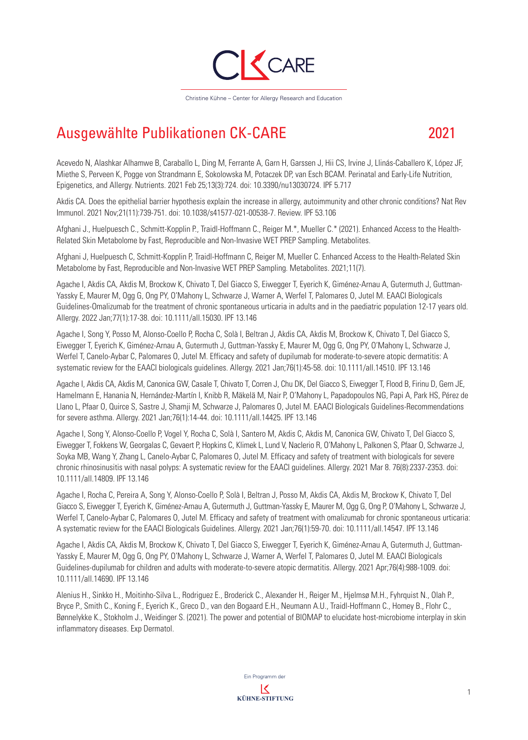

## Ausgewählte Publikationen CK-CARE 2021

Acevedo N, Alashkar Alhamwe B, Caraballo L, Ding M, Ferrante A, Garn H, Garssen J, Hii CS, Irvine J, Llinás-Caballero K, López JF, Miethe S, Perveen K, Pogge von Strandmann E, Sokolowska M, Potaczek DP, van Esch BCAM. Perinatal and Early-Life Nutrition, Epigenetics, and Allergy. Nutrients. 2021 Feb 25;13(3):724. doi: 10.3390/nu13030724. IPF 5.717

Akdis CA. Does the epithelial barrier hypothesis explain the increase in allergy, autoimmunity and other chronic conditions? Nat Rev Immunol. 2021 Nov;21(11):739-751. doi: 10.1038/s41577-021-00538-7. Review. IPF 53.106

Afghani J., Huelpuesch C., Schmitt-Kopplin P., Traidl-Hoffmann C., Reiger M.\*, Mueller C.\* (2021). Enhanced Access to the Health-Related Skin Metabolome by Fast, Reproducible and Non-Invasive WET PREP Sampling. Metabolites.

Afghani J, Huelpuesch C, Schmitt-Kopplin P, Traidl-Hoffmann C, Reiger M, Mueller C. Enhanced Access to the Health-Related Skin Metabolome by Fast, Reproducible and Non-Invasive WET PREP Sampling. Metabolites. 2021;11(7).

Agache I, Akdis CA, Akdis M, Brockow K, Chivato T, Del Giacco S, Eiwegger T, Eyerich K, Giménez-Arnau A, Gutermuth J, Guttman-Yassky E, Maurer M, Ogg G, Ong PY, O'Mahony L, Schwarze J, Warner A, Werfel T, Palomares O, Jutel M. EAACI Biologicals Guidelines-Omalizumab for the treatment of chronic spontaneous urticaria in adults and in the paediatric population 12-17 years old. Allergy. 2022 Jan;77(1):17-38. doi: 10.1111/all.15030. IPF 13.146

Agache I, Song Y, Posso M, Alonso-Coello P, Rocha C, Solà I, Beltran J, Akdis CA, Akdis M, Brockow K, Chivato T, Del Giacco S, Eiwegger T, Eyerich K, Giménez-Arnau A, Gutermuth J, Guttman-Yassky E, Maurer M, Ogg G, Ong PY, O'Mahony L, Schwarze J, Werfel T, Canelo-Aybar C, Palomares O, Jutel M. Efficacy and safety of dupilumab for moderate-to-severe atopic dermatitis: A systematic review for the EAACI biologicals guidelines. Allergy. 2021 Jan;76(1):45-58. doi: 10.1111/all.14510. IPF 13.146

Agache I, Akdis CA, Akdis M, Canonica GW, Casale T, Chivato T, Corren J, Chu DK, Del Giacco S, Eiwegger T, Flood B, Firinu D, Gern JE, Hamelmann E, Hanania N, Hernández-Martín I, Knibb R, Mäkelä M, Nair P, O'Mahony L, Papadopoulos NG, Papi A, Park HS, Pérez de Llano L, Pfaar O, Quirce S, Sastre J, Shamji M, Schwarze J, Palomares O, Jutel M. EAACI Biologicals Guidelines-Recommendations for severe asthma. Allergy. 2021 Jan;76(1):14-44. doi: 10.1111/all.14425. IPF 13.146

Agache I, Song Y, Alonso-Coello P, Vogel Y, Rocha C, Solà I, Santero M, Akdis C, Akdis M, Canonica GW, Chivato T, Del Giacco S, Eiwegger T, Fokkens W, Georgalas C, Gevaert P, Hopkins C, Klimek L, Lund V, Naclerio R, O'Mahony L, Palkonen S, Pfaar O, Schwarze J, Soyka MB, Wang Y, Zhang L, Canelo-Aybar C, Palomares O, Jutel M. Efficacy and safety of treatment with biologicals for severe chronic rhinosinusitis with nasal polyps: A systematic review for the EAACI guidelines. Allergy. 2021 Mar 8. 76(8):2337-2353. doi: 10.1111/all.14809. IPF 13.146

Agache I, Rocha C, Pereira A, Song Y, Alonso-Coello P, Solà I, Beltran J, Posso M, Akdis CA, Akdis M, Brockow K, Chivato T, Del Giacco S, Eiwegger T, Eyerich K, Giménez-Arnau A, Gutermuth J, Guttman-Yassky E, Maurer M, Ogg G, Ong P, O'Mahony L, Schwarze J, Werfel T, Canelo-Aybar C, Palomares O, Jutel M. Efficacy and safety of treatment with omalizumab for chronic spontaneous urticaria: A systematic review for the EAACI Biologicals Guidelines. Allergy. 2021 Jan;76(1):59-70. doi: 10.1111/all.14547. IPF 13.146

Agache I, Akdis CA, Akdis M, Brockow K, Chivato T, Del Giacco S, Eiwegger T, Eyerich K, Giménez-Arnau A, Gutermuth J, Guttman-Yassky E, Maurer M, Ogg G, Ong PY, O'Mahony L, Schwarze J, Warner A, Werfel T, Palomares O, Jutel M. EAACI Biologicals Guidelines-dupilumab for children and adults with moderate-to-severe atopic dermatitis. Allergy. 2021 Apr;76(4):988-1009. doi: 10.1111/all.14690. IPF 13.146

Alenius H., Sinkko H., Moitinho-Silva L., Rodriguez E., Broderick C., Alexander H., Reiger M., Hjelmsø M.H., Fyhrquist N., Olah P., Bryce P., Smith C., Koning F., Eyerich K., Greco D., van den Bogaard E.H., Neumann A.U., Traidl-Hoffmann C., Homey B., Flohr C., Bønnelykke K., Stokholm J., Weidinger S. (2021). The power and potential of BIOMAP to elucidate host-microbiome interplay in skin inflammatory diseases. Exp Dermatol.

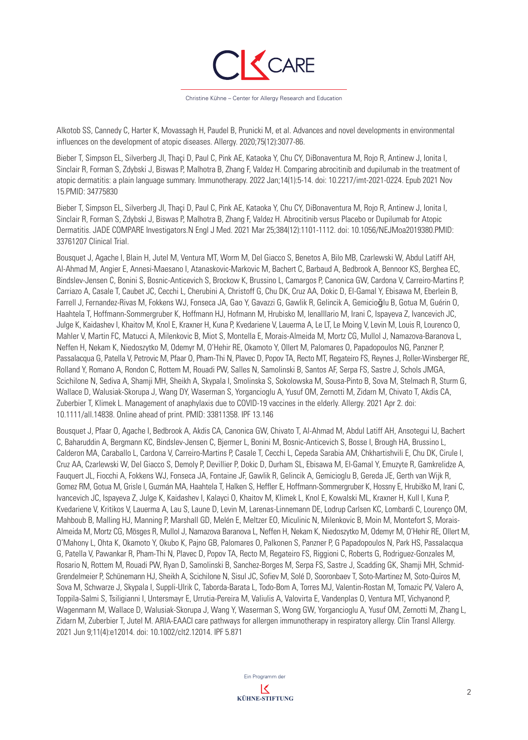

Alkotob SS, Cannedy C, Harter K, Movassagh H, Paudel B, Prunicki M, et al. Advances and novel developments in environmental influences on the development of atopic diseases. Allergy. 2020;75(12):3077-86.

Bieber T, Simpson EL, Silverberg JI, Thaçi D, Paul C, Pink AE, Kataoka Y, Chu CY, DiBonaventura M, Rojo R, Antinew J, Ionita I, Sinclair R, Forman S, Zdybski J, Biswas P, Malhotra B, Zhang F, Valdez H. Comparing abrocitinib and dupilumab in the treatment of atopic dermatitis: a plain language summary. Immunotherapy. 2022 Jan;14(1):5-14. doi: 10.2217/imt-2021-0224. Epub 2021 Nov 15.PMID: 34775830

Bieber T, Simpson EL, Silverberg JI, Thaçi D, Paul C, Pink AE, Kataoka Y, Chu CY, DiBonaventura M, Rojo R, Antinew J, Ionita I, Sinclair R, Forman S, Zdybski J, Biswas P, Malhotra B, Zhang F, Valdez H. Abrocitinib versus Placebo or Dupilumab for Atopic Dermatitis. JADE COMPARE Investigators.N Engl J Med. 2021 Mar 25;384(12):1101-1112. doi: 10.1056/NEJMoa2019380.PMID: 33761207 Clinical Trial.

Bousquet J, Agache I, Blain H, Jutel M, Ventura MT, Worm M, Del Giacco S, Benetos A, Bilo MB, Czarlewski W, Abdul Latiff AH, Al-Ahmad M, Angier E, Annesi-Maesano I, Atanaskovic-Markovic M, Bachert C, Barbaud A, Bedbrook A, Bennoor KS, Berghea EC, Bindslev-Jensen C, Bonini S, Bosnic-Anticevich S, Brockow K, Brussino L, Camargos P, Canonica GW, Cardona V, Carreiro-Martins P, Carriazo A, Casale T, Caubet JC, Cecchi L, Cherubini A, Christoff G, Chu DK, Cruz AA, Dokic D, El-Gamal Y, Ebisawa M, Eberlein B, Farrell J, Fernandez-Rivas M, Fokkens WJ, Fonseca JA, Gao Y, Gavazzi G, Gawlik R, Gelincik A, Gemicioğlu B, Gotua M, Guérin O, Haahtela T, Hoffmann-Sommergruber K, Hoffmann HJ, Hofmann M, Hrubisko M, lenaIllario M, Irani C, Ispayeva Z, Ivancevich JC, Julge K, Kaidashev I, Khaitov M, Knol E, Kraxner H, Kuna P, Kvedariene V, Lauerma A, Le LT, Le Moing V, Levin M, Louis R, Lourenco O, Mahler V, Martin FC, Matucci A, Milenkovic B, Miot S, Montella E, Morais-Almeida M, Mortz CG, Mullol J, Namazova-Baranova L, Neffen H, Nekam K, Niedoszytko M, Odemyr M, O'Hehir RE, Okamoto Y, Ollert M, Palomares O, Papadopoulos NG, Panzner P, Passalacqua G, Patella V, Petrovic M, Pfaar O, Pham-Thi N, Plavec D, Popov TA, Recto MT, Regateiro FS, Reynes J, Roller-Winsberger RE, Rolland Y, Romano A, Rondon C, Rottem M, Rouadi PW, Salles N, Samolinski B, Santos AF, Serpa FS, Sastre J, Schols JMGA, Scichilone N, Sediva A, Shamji MH, Sheikh A, Skypala I, Smolinska S, Sokolowska M, Sousa-Pinto B, Sova M, Stelmach R, Sturm G, Wallace D, Walusiak-Skorupa J, Wang DY, Waserman S, Yorgancioglu A, Yusuf OM, Zernotti M, Zidarn M, Chivato T, Akdis CA, Zuberbier T, Klimek L. Management of anaphylaxis due to COVID-19 vaccines in the elderly. Allergy. 2021 Apr 2. doi: 10.1111/all.14838. Online ahead of print. PMID: 33811358. IPF 13.146

Bousquet J, Pfaar O, Agache I, Bedbrook A, Akdis CA, Canonica GW, Chivato T, Al-Ahmad M, Abdul Latiff AH, Ansotegui IJ, Bachert C, Baharuddin A, Bergmann KC, Bindslev-Jensen C, Bjermer L, Bonini M, Bosnic-Anticevich S, Bosse I, Brough HA, Brussino L, Calderon MA, Caraballo L, Cardona V, Carreiro-Martins P, Casale T, Cecchi L, Cepeda Sarabia AM, Chkhartishvili E, Chu DK, Cirule I, Cruz AA, Czarlewski W, Del Giacco S, Demoly P, Devillier P, Dokic D, Durham SL, Ebisawa M, El-Gamal Y, Emuzyte R, Gamkrelidze A, Fauquert JL, Fiocchi A, Fokkens WJ, Fonseca JA, Fontaine JF, Gawlik R, Gelincik A, Gemicioglu B, Gereda JE, Gerth van Wijk R, Gomez RM, Gotua M, Grisle I, Guzmán MA, Haahtela T, Halken S, Heffler E, Hoffmann-Sommergruber K, Hossny E, Hrubiško M, Irani C, Ivancevich JC, Ispayeva Z, Julge K, Kaidashev I, Kalayci O, Khaitov M, Klimek L, Knol E, Kowalski ML, Kraxner H, Kull I, Kuna P, Kvedariene V, Kritikos V, Lauerma A, Lau S, Laune D, Levin M, Larenas-Linnemann DE, Lodrup Carlsen KC, Lombardi C, Lourenço OM, Mahboub B, Malling HJ, Manning P, Marshall GD, Melén E, Meltzer EO, Miculinic N, Milenkovic B, Moin M, Montefort S, Morais-Almeida M, Mortz CG, Mösges R, Mullol J, Namazova Baranova L, Neffen H, Nekam K, Niedoszytko M, Odemyr M, O'Hehir RE, Ollert M, O'Mahony L, Ohta K, Okamoto Y, Okubo K, Pajno GB, Palomares O, Palkonen S, Panzner P, G Papadopoulos N, Park HS, Passalacqua G, Patella V, Pawankar R, Pham-Thi N, Plavec D, Popov TA, Recto M, Regateiro FS, Riggioni C, Roberts G, Rodriguez-Gonzales M, Rosario N, Rottem M, Rouadi PW, Ryan D, Samolinski B, Sanchez-Borges M, Serpa FS, Sastre J, Scadding GK, Shamji MH, Schmid-Grendelmeier P, Schünemann HJ, Sheikh A, Scichilone N, Sisul JC, Sofiev M, Solé D, Sooronbaev T, Soto-Martinez M, Soto-Quiros M, Sova M, Schwarze J, Skypala I, Suppli-Ulrik C, Taborda-Barata L, Todo-Bom A, Torres MJ, Valentin-Rostan M, Tomazic PV, Valero A, Toppila-Salmi S, Tsiligianni I, Untersmayr E, Urrutia-Pereira M, Valiulis A, Valovirta E, Vandenplas O, Ventura MT, Vichyanond P, Wagenmann M, Wallace D, Walusiak-Skorupa J, Wang Y, Waserman S, Wong GW, Yorgancioglu A, Yusuf OM, Zernotti M, Zhang L, Zidarn M, Zuberbier T, Jutel M. ARIA-EAACI care pathways for allergen immunotherapy in respiratory allergy. Clin Transl Allergy. 2021 Jun 9;11(4):e12014. doi: 10.1002/clt2.12014. IPF 5.871

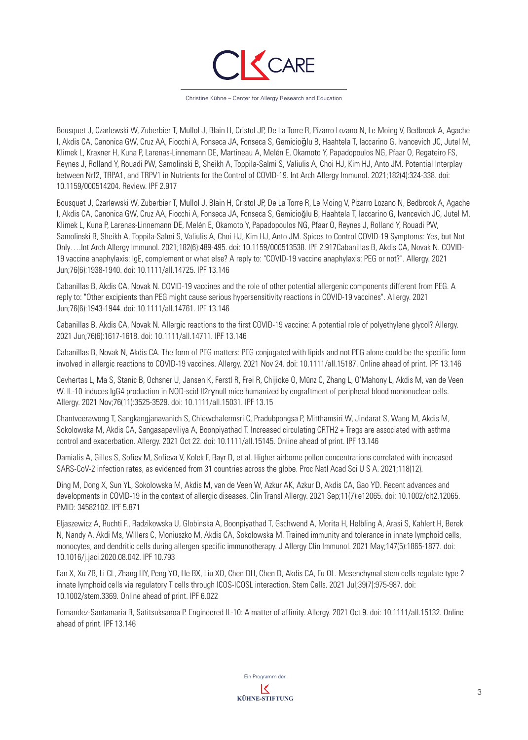

Christine Kühne – Center for Allergy Research and Education

Bousquet J, Czarlewski W, Zuberbier T, Mullol J, Blain H, Cristol JP, De La Torre R, Pizarro Lozano N, Le Moing V, Bedbrook A, Agache I, Akdis CA, Canonica GW, Cruz AA, Fiocchi A, Fonseca JA, Fonseca S, Gemicioğlu B, Haahtela T, Iaccarino G, Ivancevich JC, Jutel M, Klimek L, Kraxner H, Kuna P, Larenas-Linnemann DE, Martineau A, Melén E, Okamoto Y, Papadopoulos NG, Pfaar O, Regateiro FS, Reynes J, Rolland Y, Rouadi PW, Samolinski B, Sheikh A, Toppila-Salmi S, Valiulis A, Choi HJ, Kim HJ, Anto JM. Potential Interplay between Nrf2, TRPA1, and TRPV1 in Nutrients for the Control of COVID-19. Int Arch Allergy Immunol. 2021;182(4):324-338. doi: 10.1159/000514204. Review. IPF 2.917

Bousquet J, Czarlewski W, Zuberbier T, Mullol J, Blain H, Cristol JP, De La Torre R, Le Moing V, Pizarro Lozano N, Bedbrook A, Agache I, Akdis CA, Canonica GW, Cruz AA, Fiocchi A, Fonseca JA, Fonseca S, Gemicioğlu B, Haahtela T, Iaccarino G, Ivancevich JC, Jutel M, Klimek L, Kuna P, Larenas-Linnemann DE, Melén E, Okamoto Y, Papadopoulos NG, Pfaar O, Reynes J, Rolland Y, Rouadi PW, Samolinski B, Sheikh A, Toppila-Salmi S, Valiulis A, Choi HJ, Kim HJ, Anto JM. Spices to Control COVID-19 Symptoms: Yes, but Not Only….Int Arch Allergy Immunol. 2021;182(6):489-495. doi: 10.1159/000513538. IPF 2.917Cabanillas B, Akdis CA, Novak N. COVID-19 vaccine anaphylaxis: IgE, complement or what else? A reply to: "COVID-19 vaccine anaphylaxis: PEG or not?". Allergy. 2021 Jun;76(6):1938-1940. doi: 10.1111/all.14725. IPF 13.146

Cabanillas B, Akdis CA, Novak N. COVID-19 vaccines and the role of other potential allergenic components different from PEG. A reply to: "Other excipients than PEG might cause serious hypersensitivity reactions in COVID-19 vaccines". Allergy. 2021 Jun;76(6):1943-1944. doi: 10.1111/all.14761. IPF 13.146

Cabanillas B, Akdis CA, Novak N. Allergic reactions to the first COVID-19 vaccine: A potential role of polyethylene glycol? Allergy. 2021 Jun;76(6):1617-1618. doi: 10.1111/all.14711. IPF 13.146

Cabanillas B, Novak N, Akdis CA. The form of PEG matters: PEG conjugated with lipids and not PEG alone could be the specific form involved in allergic reactions to COVID-19 vaccines. Allergy. 2021 Nov 24. doi: 10.1111/all.15187. Online ahead of print. IPF 13.146

Cevhertas L, Ma S, Stanic B, Ochsner U, Jansen K, Ferstl R, Frei R, Chijioke O, Münz C, Zhang L, O'Mahony L, Akdis M, van de Veen W. IL-10 induces IgG4 production in NOD-scid Il2rγnull mice humanized by engraftment of peripheral blood mononuclear cells. Allergy. 2021 Nov;76(11):3525-3529. doi: 10.1111/all.15031. IPF 13.15

Chantveerawong T, Sangkangjanavanich S, Chiewchalermsri C, Pradubpongsa P, Mitthamsiri W, Jindarat S, Wang M, Akdis M, Sokolowska M, Akdis CA, Sangasapaviliya A, Boonpiyathad T. Increased circulating CRTH2 + Tregs are associated with asthma control and exacerbation. Allergy. 2021 Oct 22. doi: 10.1111/all.15145. Online ahead of print. IPF 13.146

Damialis A, Gilles S, Sofiev M, Sofieva V, Kolek F, Bayr D, et al. Higher airborne pollen concentrations correlated with increased SARS-CoV-2 infection rates, as evidenced from 31 countries across the globe. Proc Natl Acad Sci U S A. 2021;118(12).

Ding M, Dong X, Sun YL, Sokolowska M, Akdis M, van de Veen W, Azkur AK, Azkur D, Akdis CA, Gao YD. Recent advances and developments in COVID-19 in the context of allergic diseases. Clin Transl Allergy. 2021 Sep;11(7):e12065. doi: 10.1002/clt2.12065. PMID: 34582102. IPF 5.871

Eljaszewicz A, Ruchti F., Radzikowska U, Globinska A, Boonpiyathad T, Gschwend A, Morita H, Helbling A, Arasi S, Kahlert H, Berek N, Nandy A, Akdi Ms, Willers C, Moniuszko M, Akdis CA, Sokolowska M. Trained immunity and tolerance in innate lymphoid cells, monocytes, and dendritic cells during allergen specific immunotherapy. J Allergy Clin Immunol. 2021 May;147(5):1865-1877. doi: 10.1016/j.jaci.2020.08.042. IPF 10.793

Fan X, Xu ZB, Li CL, Zhang HY, Peng YQ, He BX, Liu XQ, Chen DH, Chen D, Akdis CA, Fu QL. Mesenchymal stem cells regulate type 2 innate lymphoid cells via regulatory T cells through ICOS-ICOSL interaction. Stem Cells. 2021 Jul;39(7):975-987. doi: 10.1002/stem.3369. Online ahead of print. IPF 6.022

Fernandez-Santamaria R, Satitsuksanoa P. Engineered IL-10: A matter of affinity. Allergy. 2021 Oct 9. doi: 10.1111/all.15132. Online ahead of print. IPF 13.146

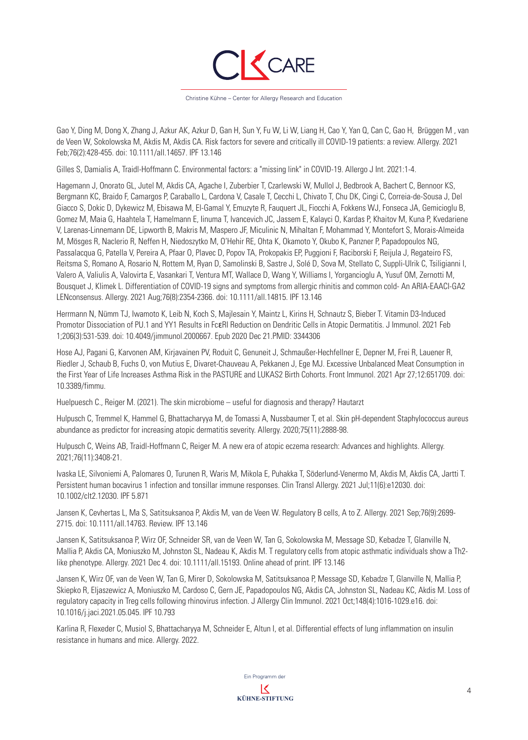

Gao Y, Ding M, Dong X, Zhang J, Azkur AK, Azkur D, Gan H, Sun Y, Fu W, Li W, Liang H, Cao Y, Yan Q, Can C, Gao H, Brüggen M , van de Veen W, Sokolowska M, Akdis M, Akdis CA. Risk factors for severe and critically ill COVID-19 patients: a review. Allergy. 2021 Feb;76(2):428-455. doi: 10.1111/all.14657. IPF 13.146

Gilles S, Damialis A, Traidl-Hoffmann C. Environmental factors: a "missing link" in COVID-19. Allergo J Int. 2021:1-4.

Hagemann J, Onorato GL, Jutel M, Akdis CA, Agache I, Zuberbier T, Czarlewski W, Mullol J, Bedbrook A, Bachert C, Bennoor KS, Bergmann KC, Braido F, Camargos P, Caraballo L, Cardona V, Casale T, Cecchi L, Chivato T, Chu DK, Cingi C, Correia-de-Sousa J, Del Giacco S, Dokic D, Dykewicz M, Ebisawa M, El-Gamal Y, Emuzyte R, Fauquert JL, Fiocchi A, Fokkens WJ, Fonseca JA, Gemicioglu B, Gomez M, Maia G, Haahtela T, Hamelmann E, Iinuma T, Ivancevich JC, Jassem E, Kalayci O, Kardas P, Khaitov M, Kuna P, Kvedariene V, Larenas-Linnemann DE, Lipworth B, Makris M, Maspero JF, Miculinic N, Mihaltan F, Mohammad Y, Montefort S, Morais-Almeida M, Mösges R, Naclerio R, Neffen H, Niedoszytko M, O'Hehir RE, Ohta K, Okamoto Y, Okubo K, Panzner P, Papadopoulos NG, Passalacqua G, Patella V, Pereira A, Pfaar O, Plavec D, Popov TA, Prokopakis EP, Puggioni F, Raciborski F, Reijula J, Regateiro FS, Reitsma S, Romano A, Rosario N, Rottem M, Ryan D, Samolinski B, Sastre J, Solé D, Sova M, Stellato C, Suppli-Ulrik C, Tsiligianni I, Valero A, Valiulis A, Valovirta E, Vasankari T, Ventura MT, Wallace D, Wang Y, Williams I, Yorgancioglu A, Yusuf OM, Zernotti M, Bousquet J, Klimek L. Differentiation of COVID-19 signs and symptoms from allergic rhinitis and common cold- An ARIA-EAACI-GA2 LENconsensus. Allergy. 2021 Aug;76(8):2354-2366. doi: 10.1111/all.14815. IPF 13.146

Herrmann N, Nümm TJ, Iwamoto K, Leib N, Koch S, Majlesain Y, Maintz L, Kirins H, Schnautz S, Bieber T. Vitamin D3-Induced Promotor Dissociation of PU.1 and YY1 Results in FcεRI Reduction on Dendritic Cells in Atopic Dermatitis. J Immunol. 2021 Feb 1;206(3):531-539. doi: 10.4049/jimmunol.2000667. Epub 2020 Dec 21.PMID: 3344306

Hose AJ, Pagani G, Karvonen AM, Kirjavainen PV, Roduit C, Genuneit J, Schmaußer-Hechfellner E, Depner M, Frei R, Lauener R, Riedler J, Schaub B, Fuchs O, von Mutius E, Divaret-Chauveau A, Pekkanen J, Ege MJ. Excessive Unbalanced Meat Consumption in the First Year of Life Increases Asthma Risk in the PASTURE and LUKAS2 Birth Cohorts. Front Immunol. 2021 Apr 27;12:651709. doi: 10.3389/fimmu.

Huelpuesch C., Reiger M. (2021). The skin microbiome – useful for diagnosis and therapy? Hautarzt

Hulpusch C, Tremmel K, Hammel G, Bhattacharyya M, de Tomassi A, Nussbaumer T, et al. Skin pH-dependent Staphylococcus aureus abundance as predictor for increasing atopic dermatitis severity. Allergy. 2020;75(11):2888-98.

Hulpusch C, Weins AB, Traidl-Hoffmann C, Reiger M. A new era of atopic eczema research: Advances and highlights. Allergy. 2021;76(11):3408-21.

Ivaska LE, Silvoniemi A, Palomares O, Turunen R, Waris M, Mikola E, Puhakka T, Söderlund-Venermo M, Akdis M, Akdis CA, Jartti T. Persistent human bocavirus 1 infection and tonsillar immune responses. Clin Transl Allergy. 2021 Jul;11(6):e12030. doi: 10.1002/clt2.12030. IPF 5.871

Jansen K, Cevhertas L, Ma S, Satitsuksanoa P, Akdis M, van de Veen W. Regulatory B cells, A to Z. Allergy. 2021 Sep;76(9):2699- 2715. doi: 10.1111/all.14763. Review. IPF 13.146

Jansen K, Satitsuksanoa P, Wirz OF, Schneider SR, van de Veen W, Tan G, Sokolowska M, Message SD, Kebadze T, Glanville N, Mallia P, Akdis CA, Moniuszko M, Johnston SL, Nadeau K, Akdis M. T regulatory cells from atopic asthmatic individuals show a Th2 like phenotype. Allergy. 2021 Dec 4. doi: 10.1111/all.15193. Online ahead of print. IPF 13.146

Jansen K, Wirz OF, van de Veen W, Tan G, Mirer D, Sokolowska M, Satitsuksanoa P, Message SD, Kebadze T, Glanville N, Mallia P, Skiepko R, Eljaszewicz A, Moniuszko M, Cardoso C, Gern JE, Papadopoulos NG, Akdis CA, Johnston SL, Nadeau KC, Akdis M. Loss of regulatory capacity in Treg cells following rhinovirus infection. J Allergy Clin Immunol. 2021 Oct;148(4):1016-1029.e16. doi: 10.1016/j.jaci.2021.05.045. IPF 10.793

Karlina R, Flexeder C, Musiol S, Bhattacharyya M, Schneider E, Altun I, et al. Differential effects of lung inflammation on insulin resistance in humans and mice. Allergy. 2022.

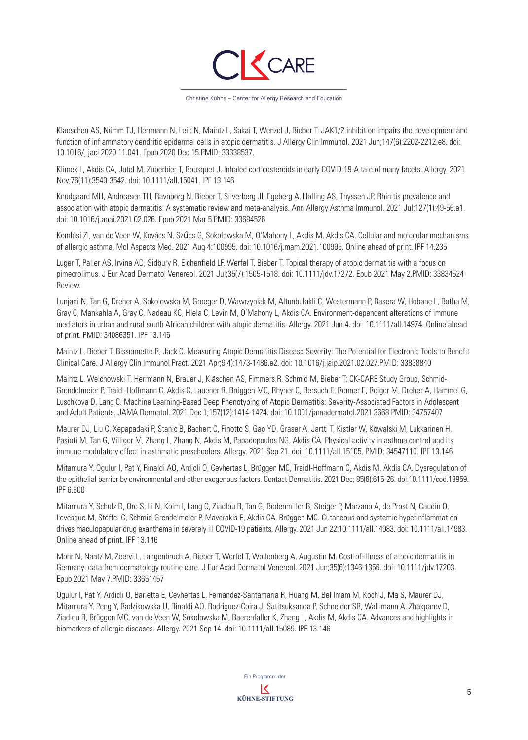

Klaeschen AS, Nümm TJ, Herrmann N, Leib N, Maintz L, Sakai T, Wenzel J, Bieber T. JAK1/2 inhibition impairs the development and function of inflammatory dendritic epidermal cells in atopic dermatitis. J Allergy Clin Immunol. 2021 Jun;147(6):2202-2212.e8. doi: 10.1016/j.jaci.2020.11.041. Epub 2020 Dec 15.PMID: 33338537.

Klimek L, Akdis CA, Jutel M, Zuberbier T, Bousquet J. Inhaled corticosteroids in early COVID-19-A tale of many facets. Allergy. 2021 Nov;76(11):3540-3542. doi: 10.1111/all.15041. IPF 13.146

Knudgaard MH, Andreasen TH, Ravnborg N, Bieber T, Silverberg JI, Egeberg A, Halling AS, Thyssen JP. Rhinitis prevalence and association with atopic dermatitis: A systematic review and meta-analysis. Ann Allergy Asthma Immunol. 2021 Jul;127(1):49-56.e1. doi: 10.1016/j.anai.2021.02.026. Epub 2021 Mar 5.PMID: 33684526

Komlósi ZI, van de Veen W, Kovács N, Szűcs G, Sokolowska M, O'Mahony L, Akdis M, Akdis CA. Cellular and molecular mechanisms of allergic asthma. Mol Aspects Med. 2021 Aug 4:100995. doi: 10.1016/j.mam.2021.100995. Online ahead of print. IPF 14.235

Luger T, Paller AS, Irvine AD, Sidbury R, Eichenfield LF, Werfel T, Bieber T. Topical therapy of atopic dermatitis with a focus on pimecrolimus. J Eur Acad Dermatol Venereol. 2021 Jul;35(7):1505-1518. doi: 10.1111/jdv.17272. Epub 2021 May 2.PMID: 33834524 Review.

Lunjani N, Tan G, Dreher A, Sokolowska M, Groeger D, Wawrzyniak M, Altunbulakli C, Westermann P, Basera W, Hobane L, Botha M, Gray C, Mankahla A, Gray C, Nadeau KC, Hlela C, Levin M, O'Mahony L, Akdis CA. Environment-dependent alterations of immune mediators in urban and rural south African children with atopic dermatitis. Allergy. 2021 Jun 4. doi: 10.1111/all.14974. Online ahead of print. PMID: 34086351. IPF 13.146

Maintz L, Bieber T, Bissonnette R, Jack C. Measuring Atopic Dermatitis Disease Severity: The Potential for Electronic Tools to Benefit Clinical Care. J Allergy Clin Immunol Pract. 2021 Apr;9(4):1473-1486.e2. doi: 10.1016/j.jaip.2021.02.027.PMID: 33838840

Maintz L, Welchowski T, Herrmann N, Brauer J, Kläschen AS, Fimmers R, Schmid M, Bieber T; CK-CARE Study Group, Schmid-Grendelmeier P, Traidl-Hoffmann C, Akdis C, Lauener R, Brüggen MC, Rhyner C, Bersuch E, Renner E, Reiger M, Dreher A, Hammel G, Luschkova D, Lang C. Machine Learning-Based Deep Phenotyping of Atopic Dermatitis: Severity-Associated Factors in Adolescent and Adult Patients. JAMA Dermatol. 2021 Dec 1;157(12):1414-1424. doi: 10.1001/jamadermatol.2021.3668.PMID: 34757407

Maurer DJ, Liu C, Xepapadaki P, Stanic B, Bachert C, Finotto S, Gao YD, Graser A, Jartti T, Kistler W, Kowalski M, Lukkarinen H, Pasioti M, Tan G, Villiger M, Zhang L, Zhang N, Akdis M, Papadopoulos NG, Akdis CA. Physical activity in asthma control and its immune modulatory effect in asthmatic preschoolers. Allergy. 2021 Sep 21. doi: 10.1111/all.15105. PMID: 34547110. IPF 13.146

Mitamura Y, Ogulur I, Pat Y, Rinaldi AO, Ardicli O, Cevhertas L, Brüggen MC, Traidl-Hoffmann C, Akdis M, Akdis CA. Dysregulation of the epithelial barrier by environmental and other exogenous factors. Contact Dermatitis. 2021 Dec; 85(6):615-26. doi:10.1111/cod.13959. IPF 6.600

Mitamura Y, Schulz D, Oro S, Li N, Kolm I, Lang C, Ziadlou R, Tan G, Bodenmiller B, Steiger P, Marzano A, de Prost N, Caudin O, Levesque M, Stoffel C, Schmid-Grendelmeier P, Maverakis E, Akdis CA, Brüggen MC. Cutaneous and systemic hyperinflammation drives maculopapular drug exanthema in severely ill COVID-19 patients. Allergy. 2021 Jun 22:10.1111/all.14983. doi: 10.1111/all.14983. Online ahead of print. IPF 13.146

Mohr N, Naatz M, Zeervi L, Langenbruch A, Bieber T, Werfel T, Wollenberg A, Augustin M. Cost-of-illness of atopic dermatitis in Germany: data from dermatology routine care. J Eur Acad Dermatol Venereol. 2021 Jun;35(6):1346-1356. doi: 10.1111/jdv.17203. Epub 2021 May 7.PMID: 33651457

Ogulur I, Pat Y, Ardicli O, Barletta E, Cevhertas L, Fernandez-Santamaria R, Huang M, Bel Imam M, Koch J, Ma S, Maurer DJ, Mitamura Y, Peng Y, Radzikowska U, Rinaldi AO, Rodriguez-Coira J, Satitsuksanoa P, Schneider SR, Wallimann A, Zhakparov D, Ziadlou R, Brüggen MC, van de Veen W, Sokolowska M, Baerenfaller K, Zhang L, Akdis M, Akdis CA. Advances and highlights in biomarkers of allergic diseases. Allergy. 2021 Sep 14. doi: 10.1111/all.15089. IPF 13.146

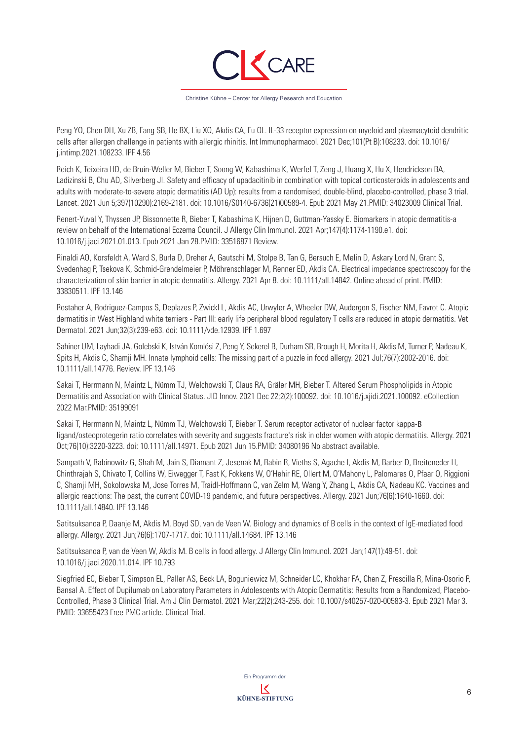

Peng YQ, Chen DH, Xu ZB, Fang SB, He BX, Liu XQ, Akdis CA, Fu QL. IL-33 receptor expression on myeloid and plasmacytoid dendritic cells after allergen challenge in patients with allergic rhinitis. Int Immunopharmacol. 2021 Dec;101(Pt B):108233. doi: 10.1016/ j.intimp.2021.108233. IPF 4.56

Reich K, Teixeira HD, de Bruin-Weller M, Bieber T, Soong W, Kabashima K, Werfel T, Zeng J, Huang X, Hu X, Hendrickson BA, Ladizinski B, Chu AD, Silverberg JI. Safety and efficacy of upadacitinib in combination with topical corticosteroids in adolescents and adults with moderate-to-severe atopic dermatitis (AD Up): results from a randomised, double-blind, placebo-controlled, phase 3 trial. Lancet. 2021 Jun 5;397(10290):2169-2181. doi: 10.1016/S0140-6736(21)00589-4. Epub 2021 May 21.PMID: 34023009 Clinical Trial.

Renert-Yuval Y, Thyssen JP, Bissonnette R, Bieber T, Kabashima K, Hijnen D, Guttman-Yassky E. Biomarkers in atopic dermatitis-a review on behalf of the International Eczema Council. J Allergy Clin Immunol. 2021 Apr;147(4):1174-1190.e1. doi: 10.1016/j.jaci.2021.01.013. Epub 2021 Jan 28.PMID: 33516871 Review.

Rinaldi AO, Korsfeldt A, Ward S, Burla D, Dreher A, Gautschi M, Stolpe B, Tan G, Bersuch E, Melin D, Askary Lord N, Grant S, Svedenhag P, Tsekova K, Schmid-Grendelmeier P, Möhrenschlager M, Renner ED, Akdis CA. Electrical impedance spectroscopy for the characterization of skin barrier in atopic dermatitis. Allergy. 2021 Apr 8. doi: 10.1111/all.14842. Online ahead of print. PMID: 33830511. IPF 13.146

Rostaher A, Rodriguez-Campos S, Deplazes P, Zwickl L, Akdis AC, Urwyler A, Wheeler DW, Audergon S, Fischer NM, Favrot C. Atopic dermatitis in West Highland white terriers - Part III: early life peripheral blood regulatory T cells are reduced in atopic dermatitis. Vet Dermatol. 2021 Jun;32(3):239-e63. doi: 10.1111/vde.12939. IPF 1.697

Sahiner UM, Layhadi JA, Golebski K, István Komlósi Z, Peng Y, Sekerel B, Durham SR, Brough H, Morita H, Akdis M, Turner P, Nadeau K, Spits H, Akdis C, Shamji MH. Innate lymphoid cells: The missing part of a puzzle in food allergy. 2021 Jul;76(7):2002-2016. doi: 10.1111/all.14776. Review. IPF 13.146

Sakai T, Herrmann N, Maintz L, Nümm TJ, Welchowski T, Claus RA, Gräler MH, Bieber T. Altered Serum Phospholipids in Atopic Dermatitis and Association with Clinical Status. JID Innov. 2021 Dec 22;2(2):100092. doi: 10.1016/j.xjidi.2021.100092. eCollection 2022 Mar.PMID: 35199091

Sakai T, Herrmann N, Maintz L, Nümm TJ, Welchowski T, Bieber T. Serum receptor activator of nuclear factor kappa-Β ligand/osteoprotegerin ratio correlates with severity and suggests fracture's risk in older women with atopic dermatitis. Allergy. 2021 Oct;76(10):3220-3223. doi: 10.1111/all.14971. Epub 2021 Jun 15.PMID: 34080196 No abstract available.

Sampath V, Rabinowitz G, Shah M, Jain S, Diamant Z, Jesenak M, Rabin R, Vieths S, Agache I, Akdis M, Barber D, Breiteneder H, Chinthrajah S, Chivato T, Collins W, Eiwegger T, Fast K, Fokkens W, O'Hehir RE, Ollert M, O'Mahony L, Palomares O, Pfaar O, Riggioni C, Shamji MH, Sokolowska M, Jose Torres M, Traidl-Hoffmann C, van Zelm M, Wang Y, Zhang L, Akdis CA, Nadeau KC. Vaccines and allergic reactions: The past, the current COVID-19 pandemic, and future perspectives. Allergy. 2021 Jun;76(6):1640-1660. doi: 10.1111/all.14840. IPF 13.146

Satitsuksanoa P, Daanje M, Akdis M, Boyd SD, van de Veen W. Biology and dynamics of B cells in the context of IgE-mediated food allergy. Allergy. 2021 Jun;76(6):1707-1717. doi: 10.1111/all.14684. IPF 13.146

Satitsuksanoa P, van de Veen W, Akdis M. B cells in food allergy. J Allergy Clin Immunol. 2021 Jan;147(1):49-51. doi: 10.1016/j.jaci.2020.11.014. IPF 10.793

Siegfried EC, Bieber T, Simpson EL, Paller AS, Beck LA, Boguniewicz M, Schneider LC, Khokhar FA, Chen Z, Prescilla R, Mina-Osorio P, Bansal A. Effect of Dupilumab on Laboratory Parameters in Adolescents with Atopic Dermatitis: Results from a Randomized, Placebo-Controlled, Phase 3 Clinical Trial. Am J Clin Dermatol. 2021 Mar;22(2):243-255. doi: 10.1007/s40257-020-00583-3. Epub 2021 Mar 3. PMID: 33655423 Free PMC article. Clinical Trial.